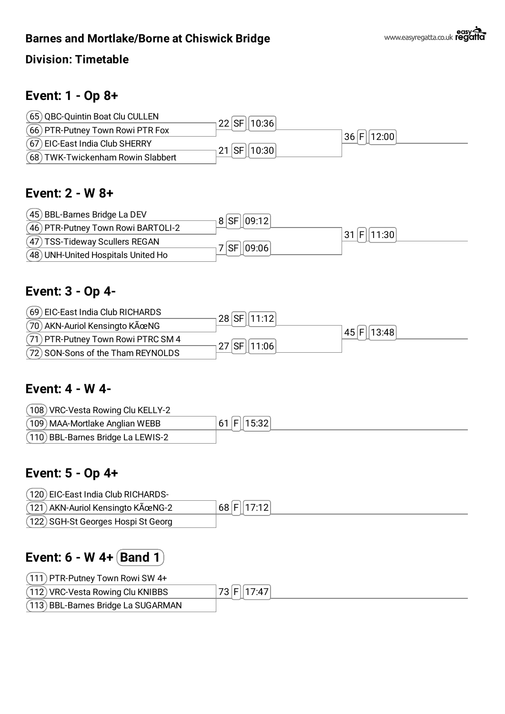

#### **Division: Timetable**

## **Event: 1 - Op 8+**



## **Event: 2 - W 8+**



#### **Event: 3 - Op 4-**

| (69) EIC-East India Club RICHARDS   | ⊦28 SF    11:12   |                 |
|-------------------------------------|-------------------|-----------------|
| (70) AKN-Auriol Kensingto KÜNG      |                   | 45   F    13:48 |
| (71) PTR-Putney Town Rowi PTRC SM 4 | $27$ SF<br> 11:06 |                 |
| (72) SON-Sons of the Tham REYNOLDS  |                   |                 |

#### **Event: 4 - W 4-**

| (108) VRC-Vesta Rowing Clu KELLY-2 |            |
|------------------------------------|------------|
| (109) MAA-Mortlake Anglian WEBB    | 61 F 15:32 |
| (110) BBL-Barnes Bridge La LEWIS-2 |            |

## **Event: 5 - Op 4+**

| (120) EIC-East India Club RICHARDS-              |            |
|--------------------------------------------------|------------|
| $(121)$ AKN-Auriol Kensingto K $\tilde{A}$ œNG-2 | 68 F 17:12 |
| (122) SGH-St Georges Hospi St Georg              |            |

# **Event: 6 - W 4+ Band 1**

| $(111)$ PTR-Putney Town Rowi SW 4+  |            |
|-------------------------------------|------------|
| (112) VRC-Vesta Rowing Clu KNIBBS   | 73 F 17:47 |
| (113) BBL-Barnes Bridge La SUGARMAN |            |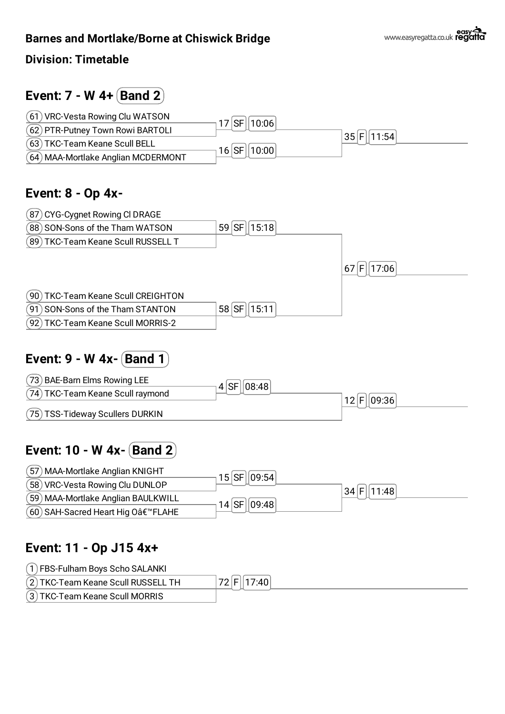

#### **Division: Timetable**

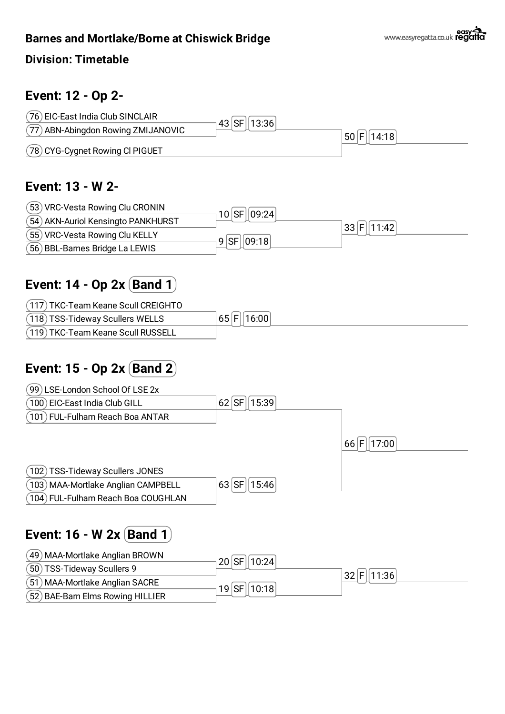

#### **Division: Timetable**

# **Event: 12 - Op 2-**

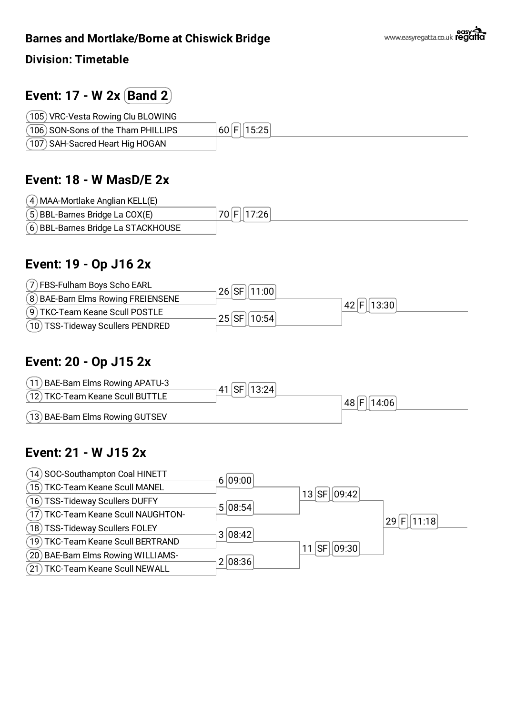**Division: Timetable**

# **Event: 17 - W 2x Band 2**

| (105) VRC-Vesta Rowing Clu BLOWING  |                |
|-------------------------------------|----------------|
| (106) SON-Sons of the Tham PHILLIPS | $ 60 F $ 15:25 |
| (107) SAH-Sacred Heart Hig HOGAN    |                |

# **Event: 18 - W MasD/E 2x**

| (4) MAA-Mortlake Anglian KELL(E)    |            |
|-------------------------------------|------------|
| $(5)$ BBL-Barnes Bridge La COX(E)   | 70 F 17:26 |
| (6) BBL-Barnes Bridge La STACKHOUSE |            |

# **Event: 19 - Op J16 2x**

| (7) FBS-Fulham Boys Scho EARL       | 26 SF 11:00  |            |  |
|-------------------------------------|--------------|------------|--|
| (8) BAE-Barn Elms Rowing FREIENSENE |              | 42 F 13:30 |  |
| (9) TKC-Team Keane Scull POSTLE     | 25 SF  10:54 |            |  |
| (10) TSS-Tideway Scullers PENDRED   |              |            |  |

# **Event: 20 - Op J15 2x**



# **Event: 21 - W J15 2x**

| 14) SOC-Southampton Coal HINETT     | 6 09:00           |            |
|-------------------------------------|-------------------|------------|
| 15) TKC-Team Keane Scull MANEL      | $13$ SF $ 09:42 $ |            |
| 16) TSS-Tideway Scullers DUFFY      | 5 08:54           |            |
| TKC-Team Keane Scull NAUGHTON-      |                   | 29 F 11:18 |
| 18) TSS-Tideway Scullers FOLEY      | 3 08:42           |            |
| 19) TKC-Team Keane Scull BERTRAND   | 11 $ SF  09:30 $  |            |
| (20) BAE-Barn Elms Rowing WILLIAMS- | 2 08:36           |            |
| 21) TKC-Team Keane Scull NEWALL     |                   |            |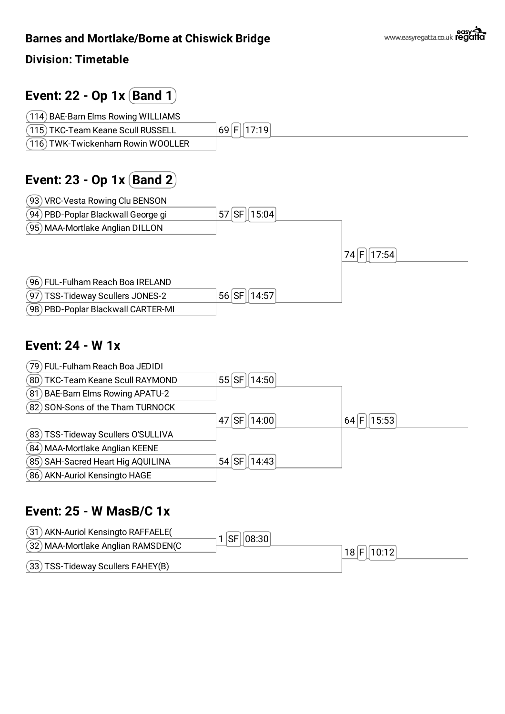

**Division: Timetable**

TSS-Tideway Scullers FAHEY(B)

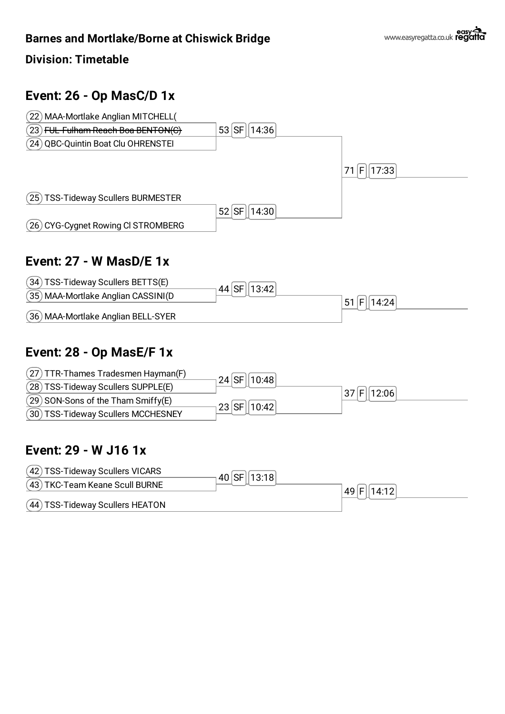

#### **Division: Timetable**

# **Event: 26 - Op MasC/D 1x**



## **Event: 27 - W MasD/E 1x**



# **Event: 28 - Op MasE/F 1x**



## **Event: 29 - W J16 1x**